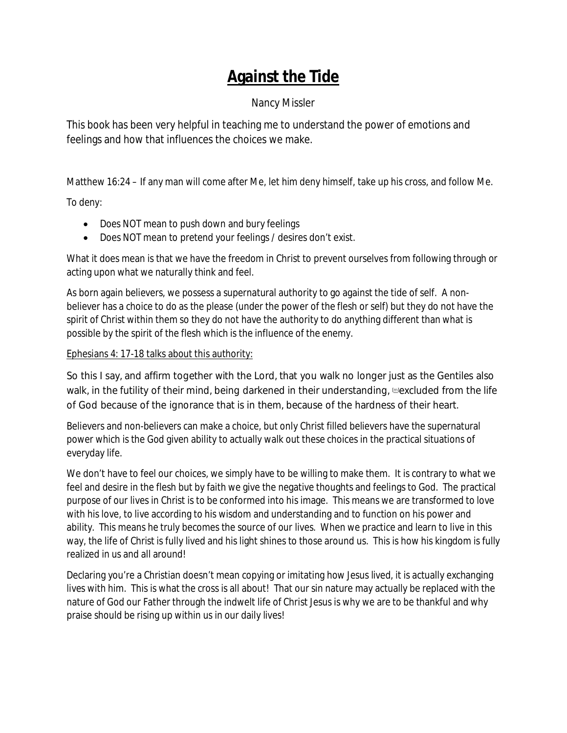# **Against the Tide**

## Nancy Missler

This book has been very helpful in teaching me to understand the power of emotions and feelings and how that influences the choices we make.

Matthew 16:24 – If any man will come after Me, let him deny himself, take up his cross, and follow Me.

To deny:

- · Does NOT mean to push down and bury feelings
- · Does NOT mean to pretend your feelings / desires don't exist.

What it does mean is that we have the freedom in Christ to prevent ourselves from following through or acting upon what we naturally think and feel.

As born again believers, we possess a supernatural authority to go against the tide of self. A nonbeliever has a choice to do as the please (under the power of the flesh or self) but they do not have the spirit of Christ within them so they do not have the authority to do anything different than what is possible by the spirit of the flesh which is the influence of the enemy.

#### Ephesians 4: 17-18 talks about this authority:

So this I say, and affirm together with the Lord, that you walk no longer just as the Gentiles also walk, in the futility of their mind, being darkened in their understanding,  $m$ excluded from the life of God because of the ignorance that is in them, because of the hardness of their heart.

Believers and non-believers can make a choice, but only Christ filled believers have the supernatural power which is the God given ability to actually walk out these choices in the practical situations of everyday life.

We don't have to feel our choices, we simply have to be willing to make them. It is contrary to what we feel and desire in the flesh but by faith we give the negative thoughts and feelings to God. The practical purpose of our lives in Christ is to be conformed into his image. This means we are transformed to love with his love, to live according to his wisdom and understanding and to function on his power and ability. This means he truly becomes the source of our lives. When we practice and learn to live in this way, the life of Christ is fully lived and his light shines to those around us. This is how his kingdom is fully realized in us and all around!

Declaring you're a Christian doesn't mean copying or imitating how Jesus lived, it is actually exchanging lives with him. This is what the cross is all about! That our sin nature may actually be replaced with the nature of God our Father through the indwelt life of Christ Jesus is why we are to be thankful and why praise should be rising up within us in our daily lives!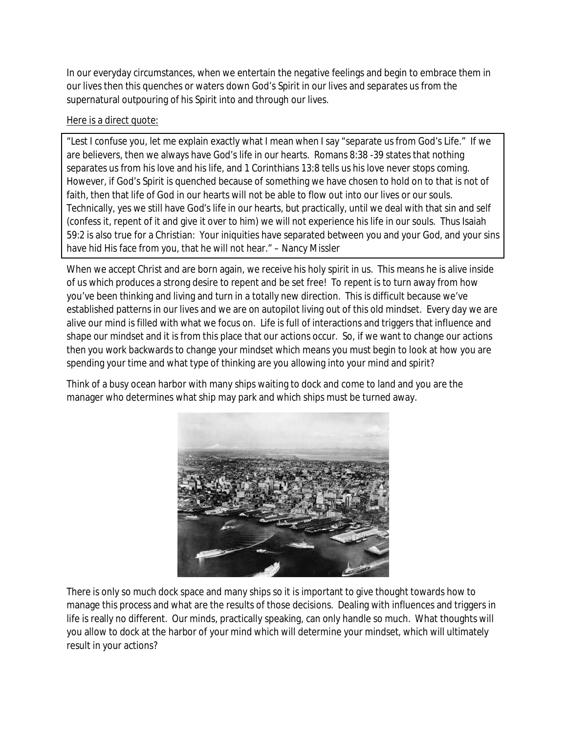In our everyday circumstances, when we entertain the negative feelings and begin to embrace them in our lives then this quenches or waters down God's Spirit in our lives and separates us from the supernatural outpouring of his Spirit into and through our lives.

Here is a direct quote:

"Lest I confuse you, let me explain exactly what I mean when I say "separate us from God's Life." If we are believers, then we always have God's life in our hearts. Romans 8:38 -39 states that nothing separates us from his love and his life, and 1 Corinthians 13:8 tells us his love never stops coming. However, if God's Spirit is quenched because of something we have chosen to hold on to that is not of faith, then that life of God in our hearts will not be able to flow out into our lives or our souls. Technically, yes we still have God's life in our hearts, but practically, until we deal with that sin and self (confess it, repent of it and give it over to him) we will not experience his life in our souls. Thus Isaiah 59:2 is also true for a Christian: Your iniquities have separated between you and your God, and your sins have hid His face from you, that he will not hear." – Nancy Missler

When we accept Christ and are born again, we receive his holy spirit in us. This means he is alive inside of us which produces a strong desire to repent and be set free! To repent is to turn away from how you've been thinking and living and turn in a totally new direction. This is difficult because we've established patterns in our lives and we are on autopilot living out of this old mindset. Every day we are alive our mind is filled with what we focus on. Life is full of interactions and triggers that influence and shape our mindset and it is from this place that our actions occur. So, if we want to change our actions then you work backwards to change your mindset which means you must begin to look at how you are spending your time and what type of thinking are you allowing into your mind and spirit?

Think of a busy ocean harbor with many ships waiting to dock and come to land and you are the manager who determines what ship may park and which ships must be turned away.



There is only so much dock space and many ships so it is important to give thought towards how to manage this process and what are the results of those decisions. Dealing with influences and triggers in life is really no different. Our minds, practically speaking, can only handle so much. What thoughts will you allow to dock at the harbor of your mind which will determine your mindset, which will ultimately result in your actions?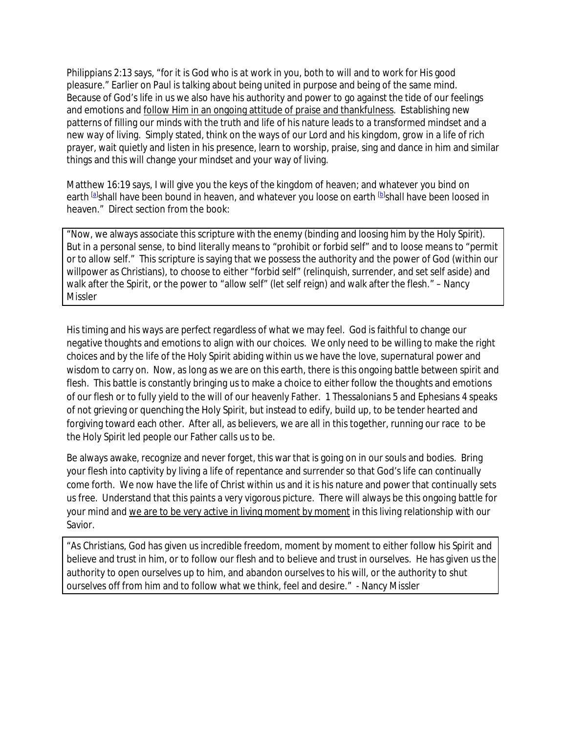Philippians 2:13 says, "for it is God who is at work in you, both to will and to work for *His* good pleasure." Earlier on Paul is talking about being united in purpose and being of the same mind. Because of God's life in us we also have his authority and power to go against the tide of our feelings and emotions and follow Him in an ongoing attitude of praise and thankfulness. Establishing new patterns of filling our minds with the truth and life of his nature leads to a transformed mindset and a new way of living. Simply stated, think on the ways of our Lord and his kingdom, grow in a life of rich prayer, wait quietly and listen in his presence, learn to worship, praise, sing and dance in him and similar things and this will change your mindset and your way of living.

Matthew 16:19 says, I will give you the keys of the kingdom of heaven; and whatever you bind on earth <sup>[a]</sup>shall have been bound in heaven, and whatever you loose on earth <sup>[b]</sup>shall have been loosed in heaven." Direct section from the book:

"Now, we always associate this scripture with the enemy (binding and loosing him by the Holy Spirit). But in a personal sense, to bind literally means to "prohibit or forbid self" and to loose means to "permit or to allow self." This scripture is saying that we possess the authority and the power of God (within our willpower as Christians), to choose to either "forbid self" (relinquish, surrender, and set self aside) and walk after the Spirit, or the power to "allow self" (let self reign) and walk after the flesh." – Nancy Missler

His timing and his ways are perfect regardless of what we may feel. God is faithful to change our negative thoughts and emotions to align with our choices. We only need to be willing to make the right choices and by the life of the Holy Spirit abiding within us we have the love, supernatural power and wisdom to carry on. Now, as long as we are on this earth, there is this ongoing battle between spirit and flesh. This battle is constantly bringing us to make a choice to either follow the thoughts and emotions of our flesh or to fully yield to the will of our heavenly Father. 1 Thessalonians 5 and Ephesians 4 speaks of not grieving or quenching the Holy Spirit, but instead to edify, build up, to be tender hearted and forgiving toward each other. After all, as believers, we are all in this together, running our race to be the Holy Spirit led people our Father calls us to be.

Be always awake, recognize and never forget, this war that is going on in our souls and bodies. Bring your flesh into captivity by living a life of repentance and surrender so that God's life can continually come forth. We now have the life of Christ within us and it is his nature and power that continually sets us free. Understand that this paints a very vigorous picture. There will always be this ongoing battle for your mind and we are to be very active in living moment by moment in this living relationship with our Savior.

"As Christians, God has given us incredible freedom, moment by moment to either follow his Spirit and believe and trust in him, or to follow our flesh and to believe and trust in ourselves. He has given us the authority to open ourselves up to him, and abandon ourselves to his will, or the authority to shut ourselves off from him and to follow what we think, feel and desire." - Nancy Missler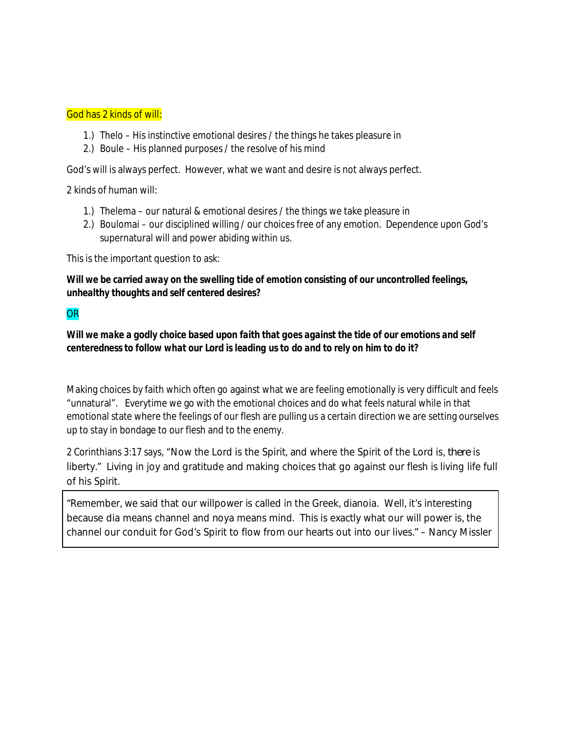#### God has 2 kinds of will:

- 1.) Thelo His instinctive emotional desires / the things he takes pleasure in
- 2.) Boule His planned purposes / the resolve of his mind

God's will is always perfect. However, what we want and desire is not always perfect.

2 kinds of human will:

- 1.) Thelema our natural & emotional desires / the things we take pleasure in
- 2.) Boulomai our disciplined willing / our choices free of any emotion. Dependence upon God's supernatural will and power abiding within us.

This is the important question to ask:

*Will we be carried away on the swelling tide of emotion consisting of our uncontrolled feelings, unhealthy thoughts and self centered desires?*

#### **OR**

*Will we make a godly choice based upon faith that goes against the tide of our emotions and self centeredness to follow what our Lord is leading us to do and to rely on him to do it?*

Making choices by faith which often go against what we are feeling emotionally is very difficult and feels "unnatural". Everytime we go with the emotional choices and do what feels natural while in that emotional state where the feelings of our flesh are pulling us a certain direction we are setting ourselves up to stay in bondage to our flesh and to the enemy.

2 Corinthians 3:17 says, "Now the Lord is the Spirit, and where the Spirit of the Lord is, *there* is liberty." Living in joy and gratitude and making choices that go against our flesh is living life full of his Spirit.

"Remember, we said that our willpower is called in the Greek, dianoia. Well, it's interesting because dia means channel and noya means mind. This is exactly what our will power is, the channel our conduit for God's Spirit to flow from our hearts out into our lives." – Nancy Missler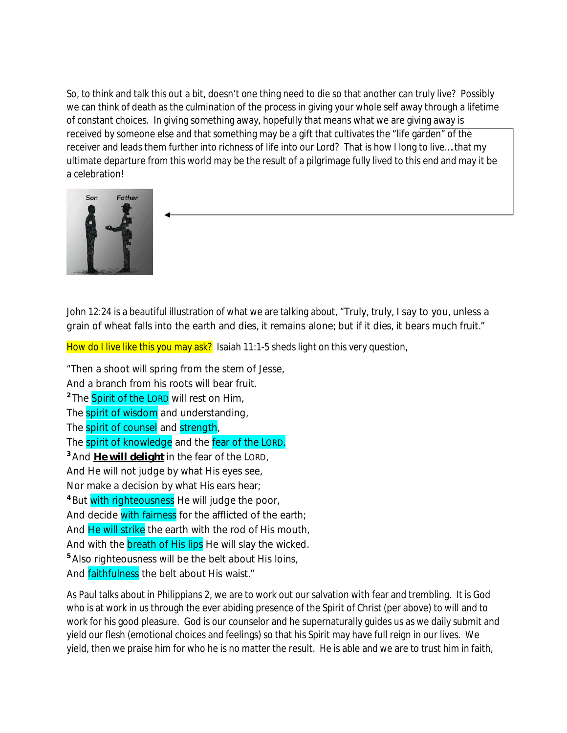So, to think and talk this out a bit, doesn't one thing need to die so that another can truly live? Possibly we can think of death as the culmination of the process in giving your whole self away through a lifetime of constant choices. In giving something away, hopefully that means what we are giving away is received by someone else and that something may be a gift that cultivates the "life garden" of the receiver and leads them further into richness of life into our Lord? That is how I long to live….that my ultimate departure from this world may be the result of a pilgrimage fully lived to this end and may it be a celebration!



John 12:24 is a beautiful illustration of what we are talking about, "Truly, truly, I say to you, unless a grain of wheat falls into the earth and dies, it remains alone; but if it dies, it bears much fruit."

How do I live like this you may ask? Isaiah 11:1-5 sheds light on this very question,

"Then a shoot will spring from the stem of Jesse, And a branch from his roots will bear fruit. **2** The Spirit of the LORD will rest on Him, The spirit of wisdom and understanding, The spirit of counsel and strength, The spirit of knowledge and the fear of the LORD. **<sup>3</sup>** And *He will delight* in the fear of the LORD, And He will not judge by what His eyes see, Nor make a decision by what His ears hear; **<sup>4</sup>** But with righteousness He will judge the poor, And decide with fairness for the afflicted of the earth; And He will strike the earth with the rod of His mouth, And with the **breath of His lips** He will slay the wicked. **<sup>5</sup>** Also righteousness will be the belt about His loins, And faithfulness the belt about His waist."

As Paul talks about in Philippians 2, we are to work out our salvation with fear and trembling. It is God who is at work in us through the ever abiding presence of the Spirit of Christ (per above) to will and to work for his good pleasure. God is our counselor and he supernaturally guides us as we daily submit and yield our flesh (emotional choices and feelings) so that his Spirit may have full reign in our lives. We yield, then we praise him for who he is no matter the result. He is able and we are to trust him in faith,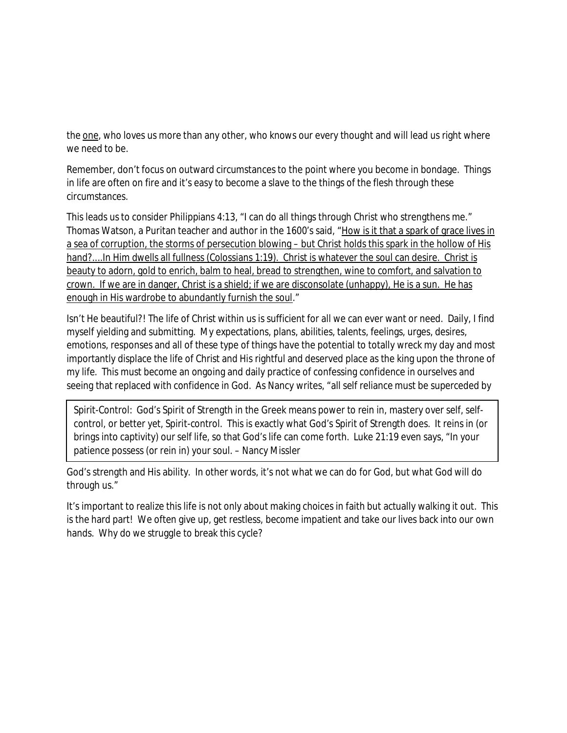the one, who loves us more than any other, who knows our every thought and will lead us right where we need to be.

Remember, don't focus on outward circumstances to the point where you become in bondage. Things in life are often on fire and it's easy to become a slave to the things of the flesh through these circumstances.

This leads us to consider Philippians 4:13, "I can do all things through Christ who strengthens me." Thomas Watson, a Puritan teacher and author in the 1600's said, "How is it that a spark of grace lives in a sea of corruption, the storms of persecution blowing – but Christ holds this spark in the hollow of His hand?....In Him dwells all fullness (Colossians 1:19). Christ is whatever the soul can desire. Christ is beauty to adorn, gold to enrich, balm to heal, bread to strengthen, wine to comfort, and salvation to crown. If we are in danger, Christ is a shield; if we are disconsolate (unhappy), He is a sun. He has enough in His wardrobe to abundantly furnish the soul."

Isn't He beautiful?! The life of Christ within us is sufficient for all we can ever want or need. Daily, I find myself yielding and submitting. My expectations, plans, abilities, talents, feelings, urges, desires, emotions, responses and all of these type of things have the potential to totally wreck my day and most importantly displace the life of Christ and His rightful and deserved place as the king upon the throne of my life. This must become an ongoing and daily practice of confessing confidence in ourselves and seeing that replaced with confidence in God. As Nancy writes, "all self reliance must be superceded by

Spirit-Control: God's Spirit of Strength in the Greek means power to rein in, mastery over self, selfcontrol, or better yet, Spirit-control. This is exactly what God's Spirit of Strength does. It reins in (or brings into captivity) our self life, so that God's life can come forth. Luke 21:19 even says, "In your patience possess (or rein in) your soul. – Nancy Missler

God's strength and His ability. In other words, it's not what we can do for God, but what God will do through us."

It's important to realize this life is not only about making choices in faith but actually walking it out. This is the hard part! We often give up, get restless, become impatient and take our lives back into our own hands. Why do we struggle to break this cycle?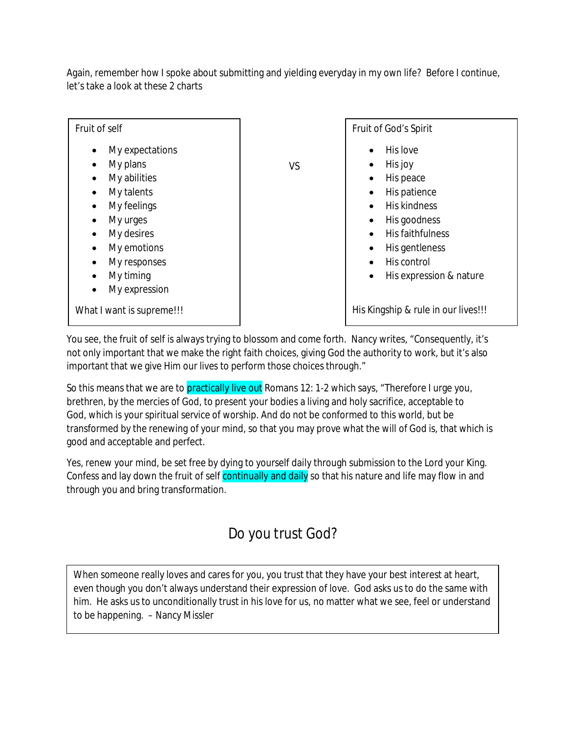Again, remember how I spoke about submitting and yielding everyday in my own life? Before I continue, let's take a look at these 2 charts



You see, the fruit of self is always trying to blossom and come forth. Nancy writes, "Consequently, it's not only important that we make the right faith choices, giving God the authority to work, but it's also important that we give Him our lives to perform those choices through."

So this means that we are to practically live out Romans 12: 1-2 which says, "Therefore I urge you, brethren, by the mercies of God, to present your bodies a living and holy sacrifice, acceptable to God, *which is* your spiritual service of worship. And do not be conformed to this world, but be transformed by the renewing of your mind, so that you may prove what the will of God is, that which is good and acceptable and perfect.

Yes, renew your mind, be set free by dying to yourself daily through submission to the Lord your King. Confess and lay down the fruit of self continually and daily so that his nature and life may flow in and through you and bring transformation.

# Do you trust God?

When someone really loves and cares for you, you trust that they have your best interest at heart, even though you don't always understand their expression of love. God asks us to do the same with him. He asks us to unconditionally trust in his love for us, no matter what we see, feel or understand to be happening. – Nancy Missler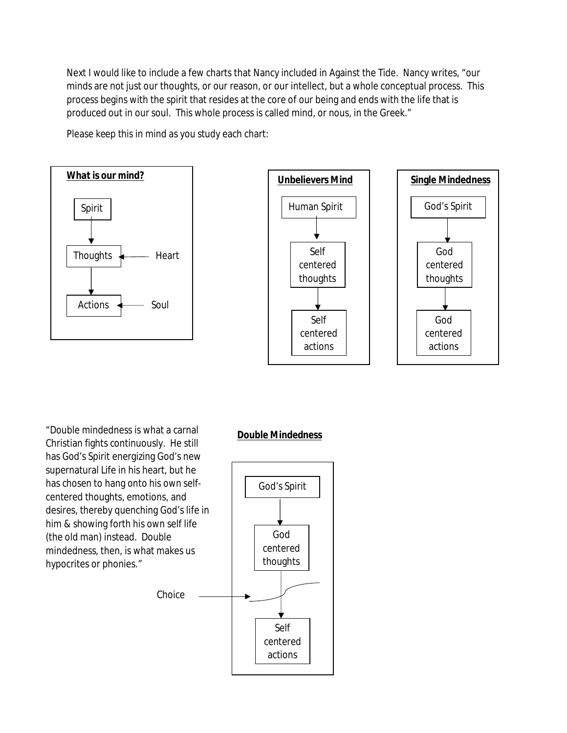Next I would like to include a few charts that Nancy included in Against the Tide. Nancy writes, "our minds are not just our thoughts, or our reason, or our intellect, but a whole conceptual process. This process begins with the spirit that resides at the core of our being and ends with the life that is produced out in our soul. This whole process is called mind, or nous, in the Greek."

Please keep this in mind as you study each chart:





"Double mindedness is what a carnal Christian fights continuously. He still has God's Spirit energizing God's new supernatural Life in his heart, but he has chosen to hang onto his own selfcentered thoughts, emotions, and desires, thereby quenching God's life in him & showing forth his own self life (the old man) instead. Double mindedness, then, is what makes us hypocrites or phonies."

#### **Double Mindedness**

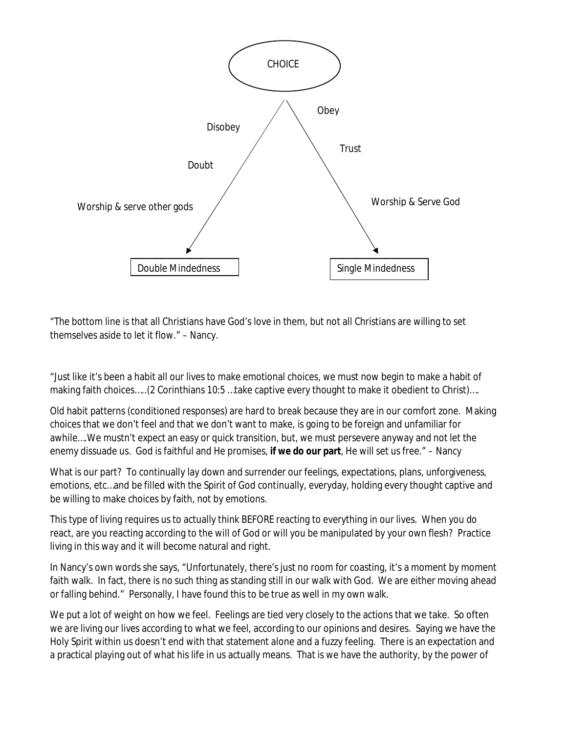

"The bottom line is that all Christians have God's love in them, but not all Christians are willing to set themselves aside to let it flow." – Nancy.

"Just like it's been a habit all our lives to make emotional choices, we must now begin to make a habit of making faith choices…..(2 Corinthians 10:5 …take captive every thought to make it obedient to Christ)….

Old habit patterns (conditioned responses) are hard to break because they are in our comfort zone. Making choices that we don't feel and that we don't want to make, is going to be foreign and unfamiliar for awhile….We mustn't expect an easy or quick transition, but, we must persevere anyway and not let the enemy dissuade us. God is faithful and He promises, **if we do our part**, He will set us free." – Nancy

What is our part? To continually lay down and surrender our feelings, expectations, plans, unforgiveness, emotions, etc…and be filled with the Spirit of God continually, everyday, holding every thought captive and be willing to make choices by faith, not by emotions.

This type of living requires us to actually think BEFORE reacting to everything in our lives. When you do react, are you reacting according to the will of God or will you be manipulated by your own flesh? Practice living in this way and it will become natural and right.

In Nancy's own words she says, "Unfortunately, there's just no room for coasting, it's a moment by moment faith walk. In fact, there is no such thing as standing still in our walk with God. We are either moving ahead or falling behind." Personally, I have found this to be true as well in my own walk.

We put a lot of weight on how we feel. Feelings are tied very closely to the actions that we take. So often we are living our lives according to what we feel, according to our opinions and desires. Saying we have the Holy Spirit within us doesn't end with that statement alone and a fuzzy feeling. There is an expectation and a practical playing out of what his life in us actually means. That is we have the authority, by the power of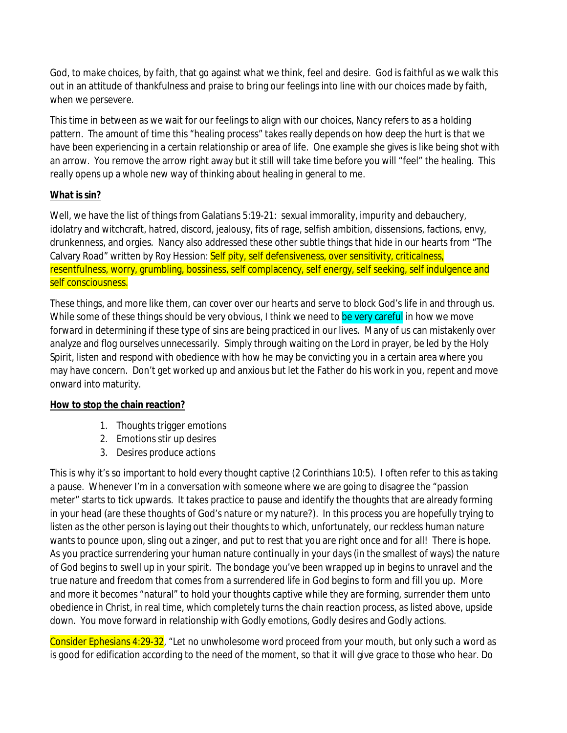God, to make choices, by faith, that go against what we think, feel and desire. God is faithful as we walk this out in an attitude of thankfulness and praise to bring our feelings into line with our choices made by faith, when we persevere.

This time in between as we wait for our feelings to align with our choices, Nancy refers to as a holding pattern. The amount of time this "healing process" takes really depends on how deep the hurt is that we have been experiencing in a certain relationship or area of life. One example she gives is like being shot with an arrow. You remove the arrow right away but it still will take time before you will "feel" the healing. This really opens up a whole new way of thinking about healing in general to me.

#### **What is sin?**

Well, we have the list of things from Galatians 5:19-21: sexual immorality, impurity and debauchery, idolatry and witchcraft, hatred, discord, jealousy, fits of rage, selfish ambition, dissensions, factions, envy, drunkenness, and orgies. Nancy also addressed these other subtle things that hide in our hearts from "The Calvary Road" written by Roy Hession: Self pity, self defensiveness, over sensitivity, criticalness, resentfulness, worry, grumbling, bossiness, self complacency, self energy, self seeking, self indulgence and self consciousness.

These things, and more like them, can cover over our hearts and serve to block God's life in and through us. While some of these things should be very obvious, I think we need to be very careful in how we move forward in determining if these type of sins are being practiced in our lives. Many of us can mistakenly over analyze and flog ourselves unnecessarily. Simply through waiting on the Lord in prayer, be led by the Holy Spirit, listen and respond with obedience with how he may be convicting you in a certain area where you may have concern. Don't get worked up and anxious but let the Father do his work in you, repent and move onward into maturity.

### **How to stop the chain reaction?**

- 1. Thoughts trigger emotions
- 2. Emotions stir up desires
- 3. Desires produce actions

This is why it's so important to hold every thought captive (2 Corinthians 10:5). I often refer to this as taking a pause. Whenever I'm in a conversation with someone where we are going to disagree the "passion meter" starts to tick upwards. It takes practice to pause and identify the thoughts that are already forming in your head (are these thoughts of God's nature or my nature?). In this process you are hopefully trying to listen as the other person is laying out their thoughts to which, unfortunately, our reckless human nature wants to pounce upon, sling out a zinger, and put to rest that you are right once and for all! There is hope. As you practice surrendering your human nature continually in your days (in the smallest of ways) the nature of God begins to swell up in your spirit. The bondage you've been wrapped up in begins to unravel and the true nature and freedom that comes from a surrendered life in God begins to form and fill you up. More and more it becomes "natural" to hold your thoughts captive while they are forming, surrender them unto obedience in Christ, in real time, which completely turns the chain reaction process, as listed above, upside down. You move forward in relationship with Godly emotions, Godly desires and Godly actions.

Consider Ephesians 4:29-32, "Let no unwholesome word proceed from your mouth, but only such *a word* as is good for edification according to the need *of the moment*, so that it will give grace to those who hear. Do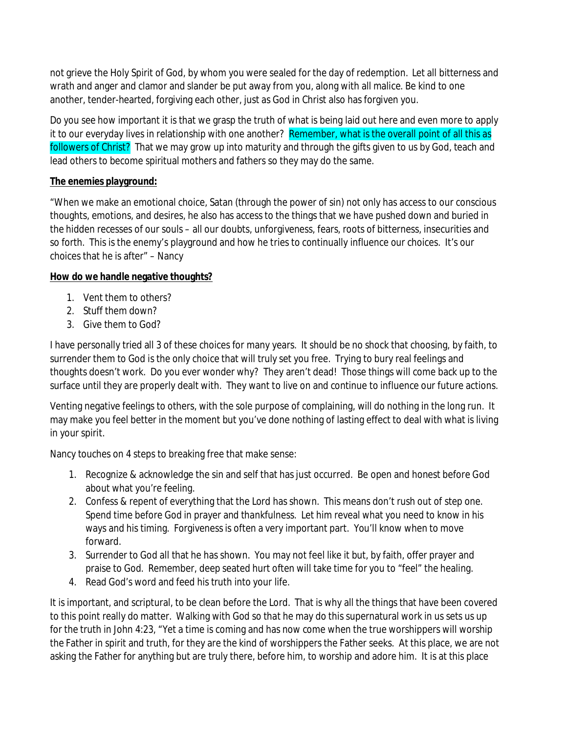not grieve the Holy Spirit of God, by whom you were sealed for the day of redemption. Let all bitterness and wrath and anger and clamor and slander be put away from you, along with all malice. Be kind to one another, tender-hearted, forgiving each other, just as God in Christ also has forgiven you.

Do you see how important it is that we grasp the truth of what is being laid out here and even more to apply it to our everyday lives in relationship with one another? Remember, what is the overall point of all this as followers of Christ? That we may grow up into maturity and through the gifts given to us by God, teach and lead others to become spiritual mothers and fathers so they may do the same.

#### **The enemies playground:**

"When we make an emotional choice, Satan (through the power of sin) not only has access to our conscious thoughts, emotions, and desires, he also has access to the things that we have pushed down and buried in the hidden recesses of our souls – all our doubts, unforgiveness, fears, roots of bitterness, insecurities and so forth. This is the enemy's playground and how he tries to continually influence our choices. It's our choices that he is after" – Nancy

#### **How do we handle negative thoughts?**

- 1. Vent them to others?
- 2. Stuff them down?
- 3. Give them to God?

I have personally tried all 3 of these choices for many years. It should be no shock that choosing, by faith, to surrender them to God is the only choice that will truly set you free. Trying to bury real feelings and thoughts doesn't work. Do you ever wonder why? They aren't dead! Those things will come back up to the surface until they are properly dealt with. They want to live on and continue to influence our future actions.

Venting negative feelings to others, with the sole purpose of complaining, will do nothing in the long run. It may make you feel better in the moment but you've done nothing of lasting effect to deal with what is living in your spirit.

Nancy touches on 4 steps to breaking free that make sense:

- 1. Recognize & acknowledge the sin and self that has just occurred. Be open and honest before God about what you're feeling.
- 2. Confess & repent of everything that the Lord has shown. This means don't rush out of step one. Spend time before God in prayer and thankfulness. Let him reveal what you need to know in his ways and his timing. Forgiveness is often a very important part. You'll know when to move forward.
- 3. Surrender to God all that he has shown. You may not feel like it but, by faith, offer prayer and praise to God. Remember, deep seated hurt often will take time for you to "feel" the healing.
- 4. Read God's word and feed his truth into your life.

It is important, and scriptural, to be clean before the Lord. That is why all the things that have been covered to this point really do matter. Walking with God so that he may do this supernatural work in us sets us up for the truth in John 4:23, "Yet a time is coming and has now come when the true worshippers will worship the Father in spirit and truth, for they are the kind of worshippers the Father seeks. At this place, we are not asking the Father for anything but are truly there, before him, to worship and adore him. It is at this place